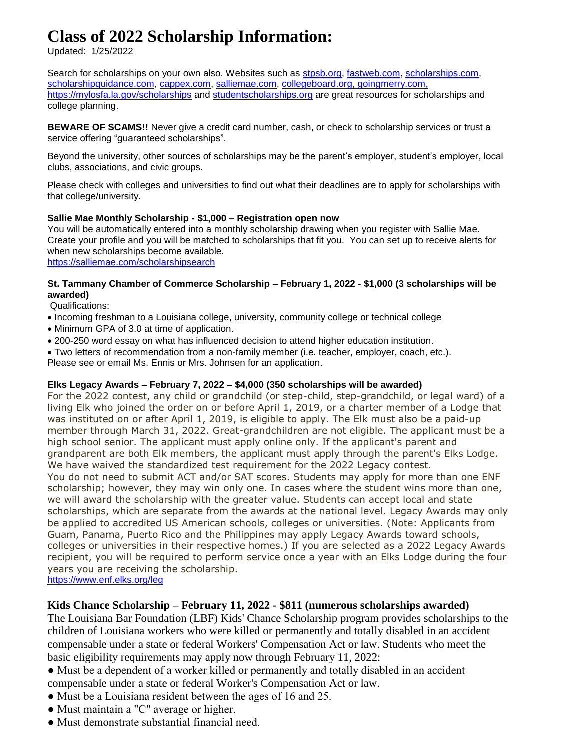# **Class of 2022 Scholarship Information:**

Updated: 1/25/2022

Search for scholarships on your own also. Websites such as [stpsb.org,](https://stpsb.org/) [fastweb.com,](file://///nas02/HOME/data/fastweb.com) [scholarships.com,](https://scholarships.com/) [scholarshipquidance.com,](http://scholarshipquidance.com/) [cappex.com,](http://cappex.com/) [salliemae.com,](file://///nas02/HOME/data/salliemae.com) [collegeboard.org,](https://collegeboard.org/) goingmerry.com, <https://mylosfa.la.gov/scholarships> and [studentscholarships.o](https://studentsscholarships.com/)rg are great resources for scholarships and college planning.

**BEWARE OF SCAMS!!** Never give a credit card number, cash, or check to scholarship services or trust a service offering "guaranteed scholarships".

Beyond the university, other sources of scholarships may be the parent's employer, student's employer, local clubs, associations, and civic groups.

Please check with colleges and universities to find out what their deadlines are to apply for scholarships with that college/university.

# **Sallie Mae Monthly Scholarship - \$1,000 – Registration open now**

You will be automatically entered into a monthly scholarship drawing when you register with Sallie Mae. Create your profile and you will be matched to scholarships that fit you. You can set up to receive alerts for when new scholarships become available.

<https://salliemae.com/scholarshipsearch>

# **St. Tammany Chamber of Commerce Scholarship – February 1, 2022 - \$1,000 (3 scholarships will be awarded)**

Qualifications:

- Incoming freshman to a Louisiana college, university, community college or technical college
- Minimum GPA of 3.0 at time of application.
- 200-250 word essay on what has influenced decision to attend higher education institution.
- Two letters of recommendation from a non-family member (i.e. teacher, employer, coach, etc.).

Please see or email Ms. Ennis or Mrs. Johnsen for an application.

# **Elks Legacy Awards – February 7, 2022 – \$4,000 (350 scholarships will be awarded)**

For the 2022 contest, any child or grandchild (or step-child, step-grandchild, or legal ward) of a living Elk who joined the order on or before April 1, 2019, or a charter member of a Lodge that was instituted on or after April 1, 2019, is eligible to apply. The Elk must also be a paid-up member through March 31, 2022. Great-grandchildren are not eligible. The applicant must be a high school senior. The applicant must apply online only. If the applicant's parent and grandparent are both Elk members, the applicant must apply through the parent's Elks Lodge. We have waived the standardized test requirement for the 2022 Legacy contest. You do not need to submit ACT and/or SAT scores. Students may apply for more than one ENF scholarship; however, they may win only one. In cases where the student wins more than one, we will award the scholarship with the greater value. Students can accept local and state scholarships, which are separate from the awards at the national level. Legacy Awards may only be applied to accredited US American schools, colleges or universities. (Note: Applicants from Guam, Panama, Puerto Rico and the Philippines may apply Legacy Awards toward schools, colleges or universities in their respective homes.) If you are selected as a 2022 Legacy Awards recipient, you will be required to perform service once a year with an Elks Lodge during the four years you are receiving the scholarship.

<https://www.enf.elks.org/leg>

# **Kids Chance Scholarship – February 11, 2022 - \$811 (numerous scholarships awarded)**

The Louisiana Bar Foundation (LBF) Kids' Chance Scholarship program provides scholarships to the children of Louisiana workers who were killed or permanently and totally disabled in an accident compensable under a state or federal Workers' Compensation Act or law. Students who meet the basic eligibility requirements may apply now through February 11, 2022:

- Must be a dependent of a worker killed or permanently and totally disabled in an accident
- compensable under a state or federal Worker's Compensation Act or law.
- Must be a Louisiana resident between the ages of 16 and 25.
- Must maintain a "C" average or higher.
- Must demonstrate substantial financial need.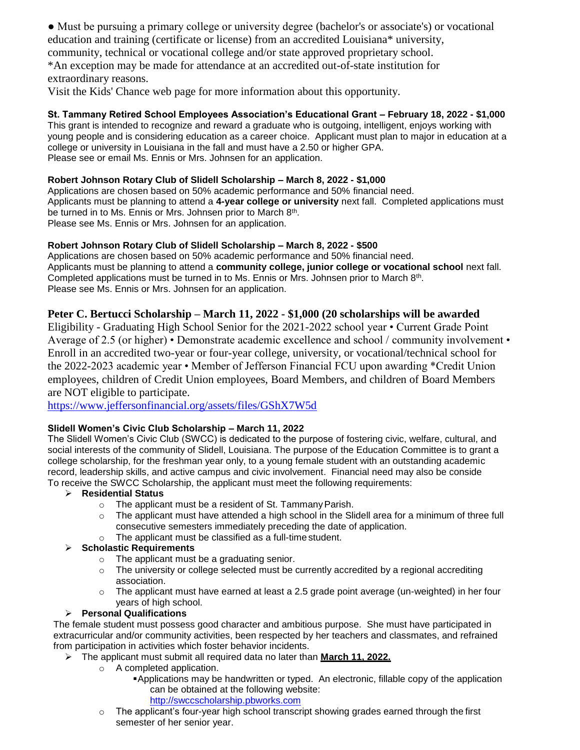● Must be pursuing a primary college or university degree (bachelor's or associate's) or vocational education and training (certificate or license) from an accredited Louisiana\* university, community, technical or vocational college and/or state approved proprietary school.

\*An exception may be made for attendance at an accredited out-of-state institution for extraordinary reasons.

Visit the Kids' Chance web page for more information about this opportunity.

# **St. Tammany Retired School Employees Association's Educational Grant – February 18, 2022 - \$1,000**

This grant is intended to recognize and reward a graduate who is outgoing, intelligent, enjoys working with young people and is considering education as a career choice. Applicant must plan to major in education at a college or university in Louisiana in the fall and must have a 2.50 or higher GPA. Please see or email Ms. Ennis or Mrs. Johnsen for an application.

# **Robert Johnson Rotary Club of Slidell Scholarship – March 8, 2022 - \$1,000**

Applications are chosen based on 50% academic performance and 50% financial need. Applicants must be planning to attend a **4-year college or university** next fall. Completed applications must be turned in to Ms. Ennis or Mrs. Johnsen prior to March 8<sup>th</sup>. Please see Ms. Ennis or Mrs. Johnsen for an application.

# **Robert Johnson Rotary Club of Slidell Scholarship – March 8, 2022 - \$500**

Applications are chosen based on 50% academic performance and 50% financial need. Applicants must be planning to attend a **community college, junior college or vocational school** next fall. Completed applications must be turned in to Ms. Ennis or Mrs. Johnsen prior to March 8<sup>th</sup>. Please see Ms. Ennis or Mrs. Johnsen for an application.

# **Peter C. Bertucci Scholarship – March 11, 2022 - \$1,000 (20 scholarships will be awarded**

Eligibility - Graduating High School Senior for the 2021-2022 school year • Current Grade Point Average of 2.5 (or higher) • Demonstrate academic excellence and school / community involvement • Enroll in an accredited two-year or four-year college, university, or vocational/technical school for the 2022-2023 academic year • Member of Jefferson Financial FCU upon awarding \*Credit Union employees, children of Credit Union employees, Board Members, and children of Board Members are NOT eligible to participate.

<https://www.jeffersonfinancial.org/assets/files/GShX7W5d>

# **Slidell Women's Civic Club Scholarship – March 11, 2022**

The Slidell Women's Civic Club (SWCC) is dedicated to the purpose of fostering civic, welfare, cultural, and social interests of the community of Slidell, Louisiana. The purpose of the Education Committee is to grant a college scholarship, for the freshman year only, to a young female student with an outstanding academic record, leadership skills, and active campus and civic involvement. Financial need may also be conside To receive the SWCC Scholarship, the applicant must meet the following requirements:

#### **Residential Status**

- $\circ$  The applicant must be a resident of St. Tammany Parish.
- $\circ$  The applicant must have attended a high school in the Slidell area for a minimum of three full consecutive semesters immediately preceding the date of application.
- o The applicant must be classified as a full-time student.

#### **Scholastic Requirements**

- o The applicant must be a graduating senior.
- $\circ$  The university or college selected must be currently accredited by a regional accrediting association.
- $\circ$  The applicant must have earned at least a 2.5 grade point average (un-weighted) in her four years of high school.

#### **Personal Qualifications**

The female student must possess good character and ambitious purpose. She must have participated in extracurricular and/or community activities, been respected by her teachers and classmates, and refrained from participation in activities which foster behavior incidents.

- The applicant must submit all required data no later than **March 11, 2022.**
	- o A completed application.
		- Applications may be handwritten or typed. An electronic, fillable copy of the application can be obtained at the following website:

[http://swccscholarship.pbworks.com](http://swccscholarship.pbworks.com/)

 $\circ$  The applicant's four-year high school transcript showing grades earned through the first semester of her senior year.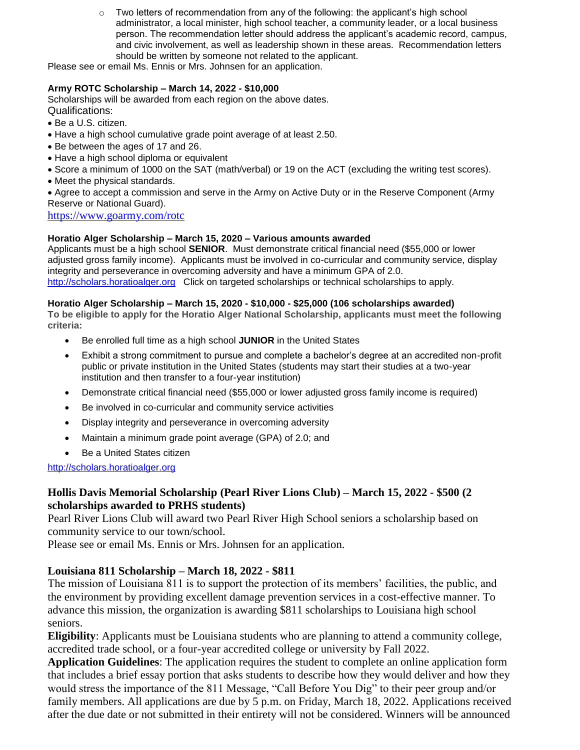$\circ$  Two letters of recommendation from any of the following: the applicant's high school administrator, a local minister, high school teacher, a community leader, or a local business person. The recommendation letter should address the applicant's academic record, campus, and civic involvement, as well as leadership shown in these areas. Recommendation letters should be written by someone not related to the applicant.

Please see or email Ms. Ennis or Mrs. Johnsen for an application.

# **Army ROTC Scholarship – March 14, 2022 - \$10,000**

Scholarships will be awarded from each region on the above dates. Qualifications:

- Be a U.S. citizen.
- Have a high school cumulative grade point average of at least 2.50.
- Be between the ages of 17 and 26.
- Have a high school diploma or equivalent
- Score a minimum of 1000 on the SAT (math/verbal) or 19 on the ACT (excluding the writing test scores).
- Meet the physical standards.
- Agree to accept a commission and serve in the Army on Active Duty or in the Reserve Component (Army Reserve or National Guard).

<https://www.goarmy.com/rotc>

#### **Horatio Alger Scholarship – March 15, 2020 – Various amounts awarded**

Applicants must be a high school **SENIOR**. Must demonstrate critical financial need (\$55,000 or lower adjusted gross family income). Applicants must be involved in co-curricular and community service, display integrity and perseverance in overcoming adversity and have a minimum GPA of 2.0. [http://scholars.horatioalger.org](http://scholars.horatioalger.org/) Click on targeted scholarships or technical scholarships to apply.

#### **Horatio Alger Scholarship – March 15, 2020 - \$10,000 - \$25,000 (106 scholarships awarded)**

**To be eligible to apply for the Horatio Alger National Scholarship, applicants must meet the following criteria:**

- Be enrolled full time as a high school **JUNIOR** in the United States
- Exhibit a strong commitment to pursue and complete a bachelor's degree at an accredited non-profit public or private institution in the United States (students may start their studies at a two-year institution and then transfer to a four-year institution)
- Demonstrate critical financial need (\$55,000 or lower adjusted gross family income is required)
- Be involved in co-curricular and community service activities
- Display integrity and perseverance in overcoming adversity
- Maintain a minimum grade point average (GPA) of 2.0; and
- Be a United States citizen

[http://scholars.horatioalger.org](http://scholars.horatioalger.org/)

# **Hollis Davis Memorial Scholarship (Pearl River Lions Club) – March 15, 2022 - \$500 (2 scholarships awarded to PRHS students)**

Pearl River Lions Club will award two Pearl River High School seniors a scholarship based on community service to our town/school.

Please see or email Ms. Ennis or Mrs. Johnsen for an application.

# **Louisiana 811 Scholarship – March 18, 2022 - \$811**

The mission of Louisiana 811 is to support the protection of its members' facilities, the public, and the environment by providing excellent damage prevention services in a cost-effective manner. To advance this mission, the organization is awarding \$811 scholarships to Louisiana high school seniors.

**Eligibility**: Applicants must be Louisiana students who are planning to attend a community college, accredited trade school, or a four-year accredited college or university by Fall 2022.

**Application Guidelines**: The application requires the student to complete an online application form that includes a brief essay portion that asks students to describe how they would deliver and how they would stress the importance of the 811 Message, "Call Before You Dig" to their peer group and/or family members. All applications are due by 5 p.m. on Friday, March 18, 2022. Applications received after the due date or not submitted in their entirety will not be considered. Winners will be announced